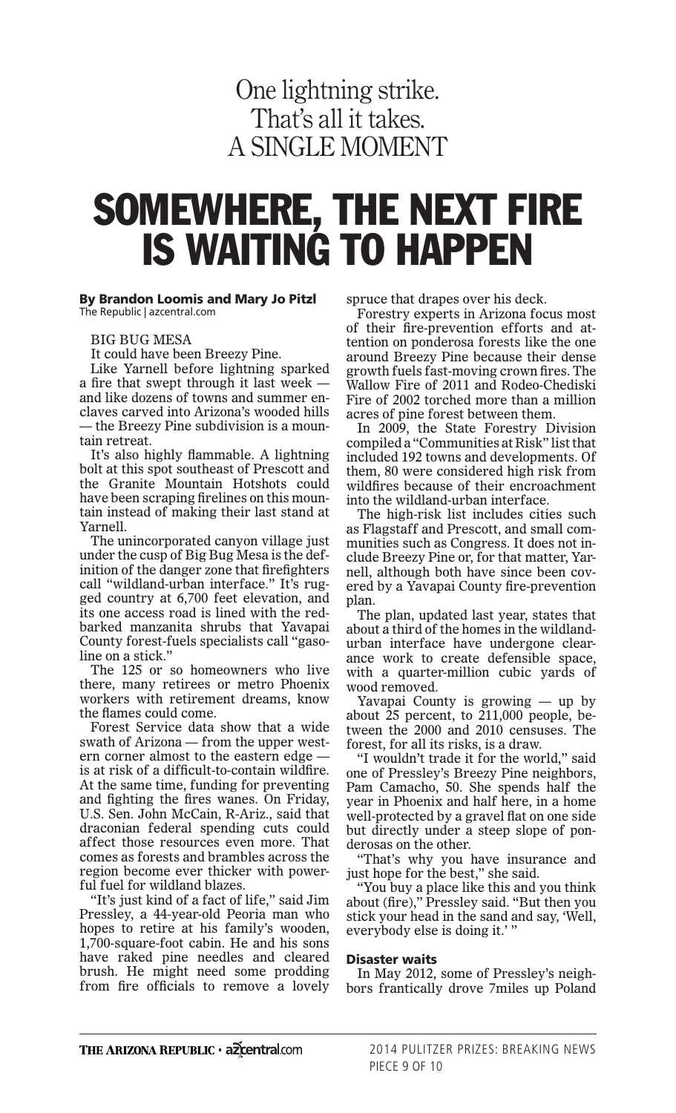## One lightning strike. That's all it takes. A SINGLE MOMENT

# SOMEWHERE, THE NEXT FIRE IS WAITING TO HAPPEN

#### By Brandon Loomis and Mary Jo Pitzl The Republic | azcentral.com

BIG BUG MESA

It could have been Breezy Pine.

Like Yarnell before lightning sparked a fire that swept through it last week and like dozens of towns and summer enclaves carved into Arizona's wooded hills — the Breezy Pine subdivision is a mountain retreat.

It's also highly flammable. A lightning bolt at this spot southeast of Prescott and the Granite Mountain Hotshots could have been scraping firelines on this mountain instead of making their last stand at Yarnell.

The unincorporated canyon village just under the cusp of Big Bug Mesa is the definition of the danger zone that firefighters call "wildland-urban interface." It's rugged country at 6,700 feet elevation, and its one access road is lined with the redbarked manzanita shrubs that Yavapai County forest-fuels specialists call "gasoline on a stick."

The 125 or so homeowners who live there, many retirees or metro Phoenix workers with retirement dreams, know the flames could come.

Forest Service data show that a wide swath of Arizona — from the upper western corner almost to the eastern edge is at risk of a difficult-to-contain wildfire. At the same time, funding for preventing and fighting the fires wanes. On Friday, U.S. Sen. John McCain, R-Ariz., said that draconian federal spending cuts could affect those resources even more. That comes as forests and brambles across the region become ever thicker with powerful fuel for wildland blazes.

"It's just kind of a fact of life," said Jim Pressley, a 44-year-old Peoria man who hopes to retire at his family's wooden, 1,700-square-foot cabin. He and his sons have raked pine needles and cleared brush. He might need some prodding from fire officials to remove a lovely

spruce that drapes over his deck.

Forestry experts in Arizona focus most of their fire-prevention efforts and attention on ponderosa forests like the one around Breezy Pine because their dense growth fuels fast-moving crown fires. The Wallow Fire of 2011 and Rodeo-Chediski Fire of 2002 torched more than a million acres of pine forest between them.

In 2009, the State Forestry Division compiled a "Communities at Risk" list that included 192 towns and developments. Of them, 80 were considered high risk from wildfires because of their encroachment into the wildland-urban interface.

The high-risk list includes cities such as Flagstaff and Prescott, and small communities such as Congress. It does not include Breezy Pine or, for that matter, Yarnell, although both have since been covered by a Yavapai County fire-prevention plan.

The plan, updated last year, states that about a third of the homes in the wildlandurban interface have undergone clearance work to create defensible space, with a quarter-million cubic yards of wood removed.

Yavapai County is growing — up by about 25 percent, to 211,000 people, between the 2000 and 2010 censuses. The forest, for all its risks, is a draw.

"I wouldn't trade it for the world," said one of Pressley's Breezy Pine neighbors, Pam Camacho, 50. She spends half the year in Phoenix and half here, in a home well-protected by a gravel flat on one side but directly under a steep slope of ponderosas on the other.

"That's why you have insurance and just hope for the best," she said.

"You buy a place like this and you think about (fire)," Pressley said. "But then you stick your head in the sand and say, 'Well, everybody else is doing it.' "

#### Disaster waits

In May 2012, some of Pressley's neighbors frantically drove 7miles up Poland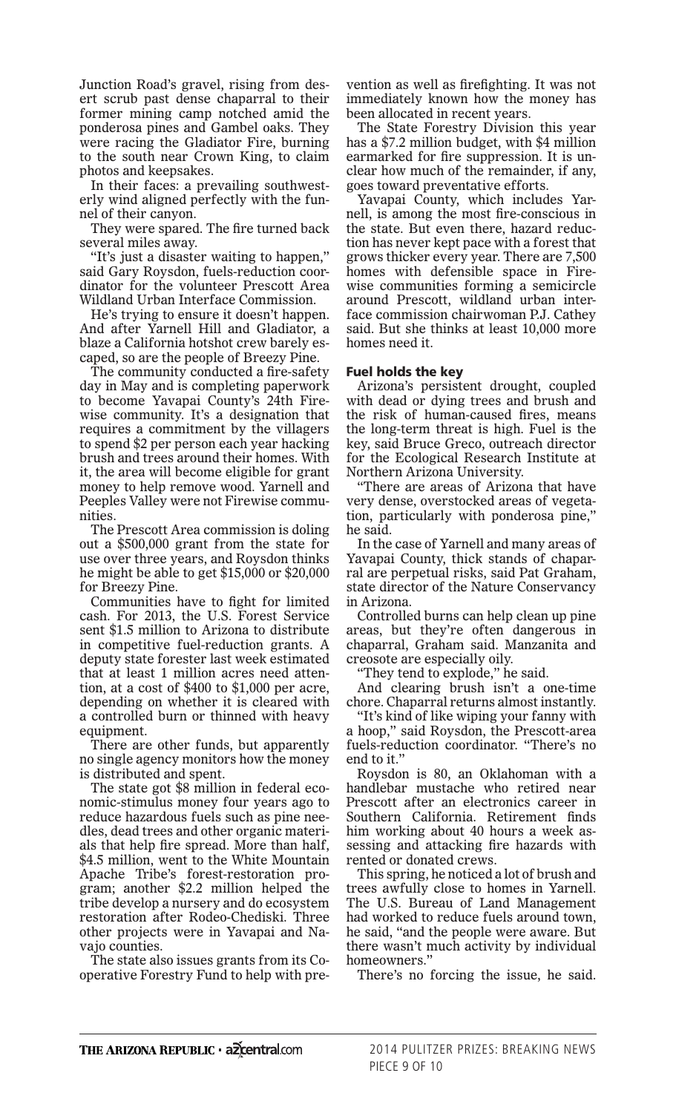Junction Road's gravel, rising from desert scrub past dense chaparral to their former mining camp notched amid the ponderosa pines and Gambel oaks. They were racing the Gladiator Fire, burning to the south near Crown King, to claim photos and keepsakes.

In their faces: a prevailing southwesterly wind aligned perfectly with the funnel of their canyon.

They were spared. The fire turned back several miles away.

"It's just a disaster waiting to happen," said Gary Roysdon, fuels-reduction coordinator for the volunteer Prescott Area Wildland Urban Interface Commission.

He's trying to ensure it doesn't happen. And after Yarnell Hill and Gladiator, a blaze a California hotshot crew barely escaped, so are the people of Breezy Pine.

The community conducted a fire-safety day in May and is completing paperwork to become Yavapai County's 24th Firewise community. It's a designation that requires a commitment by the villagers to spend \$2 per person each year hacking brush and trees around their homes. With it, the area will become eligible for grant money to help remove wood. Yarnell and Peeples Valley were not Firewise communities.

The Prescott Area commission is doling out a \$500,000 grant from the state for use over three years, and Roysdon thinks he might be able to get \$15,000 or \$20,000 for Breezy Pine.

Communities have to fight for limited cash. For 2013, the U.S. Forest Service sent \$1.5 million to Arizona to distribute in competitive fuel-reduction grants. A deputy state forester last week estimated that at least 1 million acres need attention, at a cost of \$400 to \$1,000 per acre, depending on whether it is cleared with a controlled burn or thinned with heavy equipment.

There are other funds, but apparently no single agency monitors how the money is distributed and spent.

The state got \$8 million in federal economic-stimulus money four years ago to reduce hazardous fuels such as pine needles, dead trees and other organic materials that help fire spread. More than half, \$4.5 million, went to the White Mountain Apache Tribe's forest-restoration program; another \$2.2 million helped the tribe develop a nursery and do ecosystem restoration after Rodeo-Chediski. Three other projects were in Yavapai and Navajo counties.

The state also issues grants from its Cooperative Forestry Fund to help with prevention as well as firefighting. It was not immediately known how the money has been allocated in recent years.

The State Forestry Division this year has a \$7.2 million budget, with \$4 million earmarked for fire suppression. It is unclear how much of the remainder, if any, goes toward preventative efforts.

Yavapai County, which includes Yarnell, is among the most fire-conscious in the state. But even there, hazard reduction has never kept pace with a forest that grows thicker every year. There are 7,500 homes with defensible space in Firewise communities forming a semicircle around Prescott, wildland urban interface commission chairwoman P.J. Cathey said. But she thinks at least 10,000 more homes need it.

### Fuel holds the key

Arizona's persistent drought, coupled with dead or dying trees and brush and the risk of human-caused fires, means the long-term threat is high. Fuel is the key, said Bruce Greco, outreach director for the Ecological Research Institute at Northern Arizona University.

"There are areas of Arizona that have very dense, overstocked areas of vegetation, particularly with ponderosa pine," he said.

In the case of Yarnell and many areas of Yavapai County, thick stands of chaparral are perpetual risks, said Pat Graham, state director of the Nature Conservancy in Arizona.

Controlled burns can help clean up pine areas, but they're often dangerous in chaparral, Graham said. Manzanita and creosote are especially oily.

"They tend to explode," he said.

And clearing brush isn't a one-time chore. Chaparral returns almost instantly.

"It's kind of like wiping your fanny with a hoop," said Roysdon, the Prescott-area fuels-reduction coordinator. "There's no end to it."

Roysdon is 80, an Oklahoman with a handlebar mustache who retired near Prescott after an electronics career in Southern California. Retirement finds him working about 40 hours a week assessing and attacking fire hazards with rented or donated crews.

This spring, he noticed a lot of brush and trees awfully close to homes in Yarnell. The U.S. Bureau of Land Management had worked to reduce fuels around town, he said, "and the people were aware. But there wasn't much activity by individual homeowners."

There's no forcing the issue, he said.